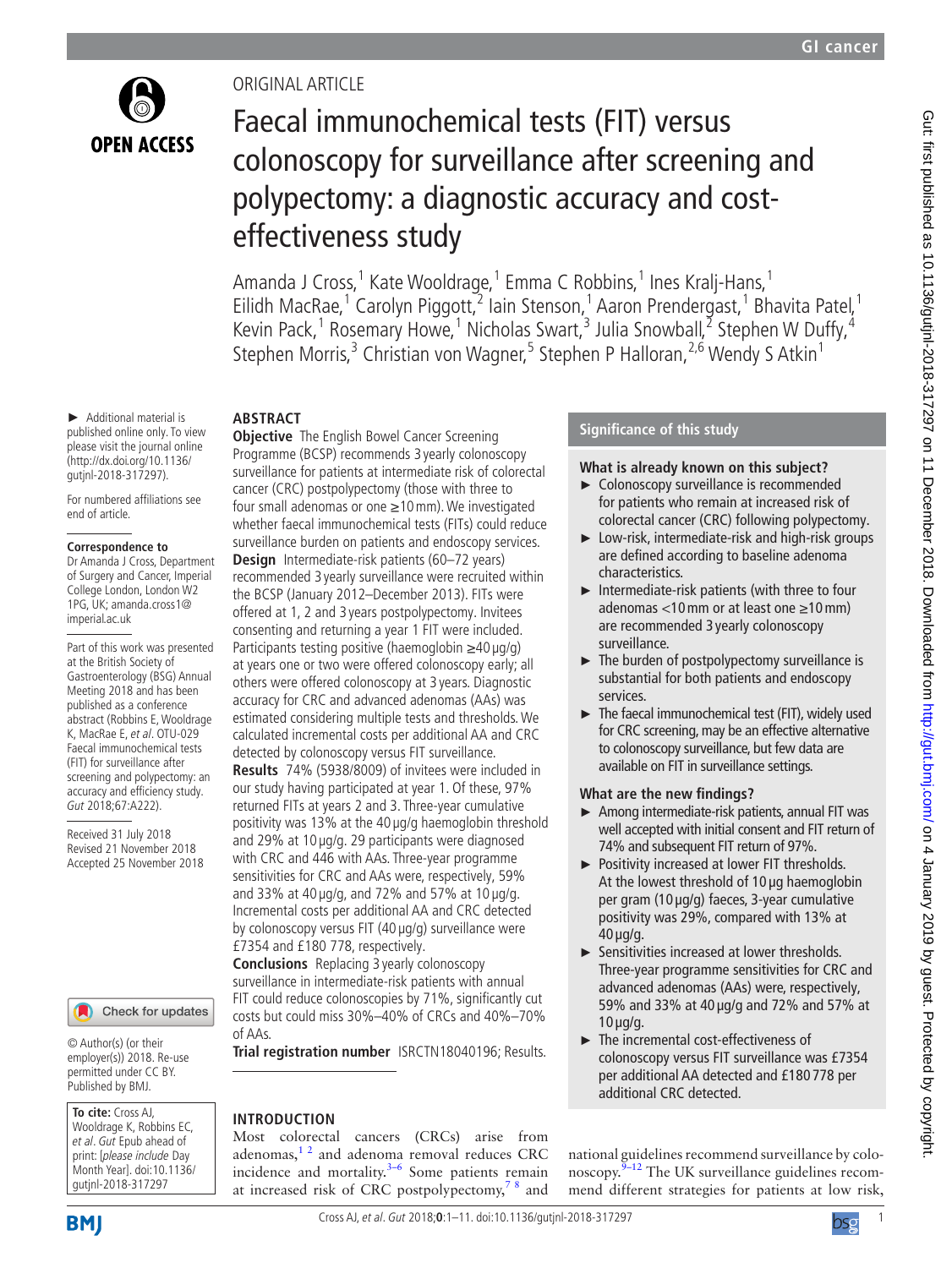

# Original article

# Faecal immunochemical tests (FIT) versus colonoscopy for surveillance after screening and polypectomy: a diagnostic accuracy and costeffectiveness study

Amanda J Cross, 1 Kate Wooldrage, 1 Emma C Robbins, 1 Ines Kralj-Hans, 1 Eilidh MacRae,<sup>1</sup> Carolyn Piggott, <sup>2</sup> Iain Stenson, <sup>1</sup> Aaron Prendergast, <sup>1</sup> Bhavita Patel, <sup>1</sup> Kevin Pack,<sup>1</sup> Rosemary Howe,<sup>1</sup> Nicholas Swart,<sup>3</sup> Julia Snowball,<sup>2</sup> Stephen W Duffy,<sup>4</sup> Stephen Morris,<sup>3</sup> Christian von Wagner,<sup>5</sup> Stephen P Halloran,<sup>2,6</sup> Wendy S Atkin<sup>1</sup>

# **Abstract**

► Additional material is published online only. To view please visit the journal online (http://dx.doi.org/10.1136/ gutjnl-2018-317297).

For numbered affiliations see end of article.

#### **Correspondence to**

Dr Amanda J Cross, Department of Surgery and Cancer, Imperial College London, London W2 1PG, UK; amanda.cross1@ imperial.ac.uk

Part of this work was presented at the British Society of Gastroenterology (BSG) Annual Meeting 2018 and has been published as a conference abstract (Robbins E, Wooldrage K, MacRae E, et al. OTU-029 Faecal immunochemical tests (FIT) for surveillance after screening and polypectomy: an accuracy and efficiency study. Gut 2018;67:A222).

Received 31 July 2018 Revised 21 November 2018 Accepted 25 November 2018

#### Check for updates

© Author(s) (or their employer(s)) 2018. Re-use permitted under CC BY. Published by BMJ.

#### **To cite:** Cross AJ, Wooldrage K, Robbins EC,

et al. Gut Epub ahead of print: [please include Day Month Year]. doi:10.1136/ gutjnl-2018-317297

**Objective** The English Bowel Cancer Screening Programme (BCSP) recommends 3 yearly colonoscopy surveillance for patients at intermediate risk of colorectal cancer (CRC) postpolypectomy (those with three to four small adenomas or one ≥10mm). We investigated whether faecal immunochemical tests (FITs) could reduce surveillance burden on patients and endoscopy services. **Design** Intermediate-risk patients (60–72 years) recommended 3 yearly surveillance were recruited within the BCSP (January 2012–December 2013). FITs were offered at 1, 2 and 3 years postpolypectomy. Invitees consenting and returning a year 1 FIT were included. Participants testing positive (haemoglobin ≥40 µg/g) at years one or two were offered colonoscopy early; all others were offered colonoscopy at 3 years. Diagnostic accuracy for CRC and advanced adenomas (AAs) was estimated considering multiple tests and thresholds. We calculated incremental costs per additional AA and CRC detected by colonoscopy versus FIT surveillance.

**Results** 74% (5938/8009) of invitees were included in our study having participated at year 1. Of these, 97% returned FITs at years 2 and 3. Three-year cumulative positivity was 13% at the 40 µg/g haemoglobin threshold and 29% at 10 µg/g. 29 participants were diagnosed with CRC and 446 with AAs. Three-year programme sensitivities for CRC and AAs were, respectively, 59% and 33% at 40  $\mu$ g/g, and 72% and 57% at 10  $\mu$ g/g. Incremental costs per additional AA and CRC detected by colonoscopy versus FIT (40 µg/g) surveillance were £7354 and £180 778, respectively.

**Conclusions** Replacing 3 yearly colonoscopy surveillance in intermediate-risk patients with annual FIT could reduce colonoscopies by 71%, significantly cut costs but could miss 30%–40% of CRCs and 40%–70% of AAs.

**Trial registration number** I[SRCTN18040196](ISRCTN18040196); Results.

# **Introduction**

Most colorectal cancers (CRCs) arise from adenomas, $1<sup>2</sup>$  and adenoma removal reduces CRC incidence and mortality. $3-6$  Some patients remain at increased risk of CRC postpolypectomy, $78$  and

# **Significance of this study**

### **What is already known on this subject?**

- ► Colonoscopy surveillance is recommended for patients who remain at increased risk of colorectal cancer (CRC) following polypectomy.
- $\blacktriangleright$  Low-risk, intermediate-risk and high-risk groups are defined according to baseline adenoma characteristics.
- ► Intermediate-risk patients (with three to four adenomas <10mm or at least one ≥10mm) are recommended 3 yearly colonoscopy surveillance.
- ► The burden of postpolypectomy surveillance is substantial for both patients and endoscopy services.
- ► The faecal immunochemical test (FIT), widely used for CRC screening, may be an effective alternative to colonoscopy surveillance, but few data are available on FIT in surveillance settings.

#### **What are the new findings?**

- ► Among intermediate-risk patients, annual FIT was well accepted with initial consent and FIT return of 74% and subsequent FIT return of 97%.
- ► Positivity increased at lower FIT thresholds. At the lowest threshold of 10 µg haemoglobin per gram (10 µg/g) faeces, 3-year cumulative positivity was 29%, compared with 13% at 40 µg/g.
- ► Sensitivities increased at lower thresholds. Three-year programme sensitivities for CRC and advanced adenomas (AAs) were, respectively, 59% and 33% at 40 µg/g and 72% and 57% at 10 µg/g.
- ► The incremental cost-effectiveness of colonoscopy versus FIT surveillance was £7354 per additional AA detected and £180 778 per additional CRC detected.

national guidelines recommend surveillance by colonoscopy. $9-12$  The UK surveillance guidelines recommend different strategies for patients at low risk,



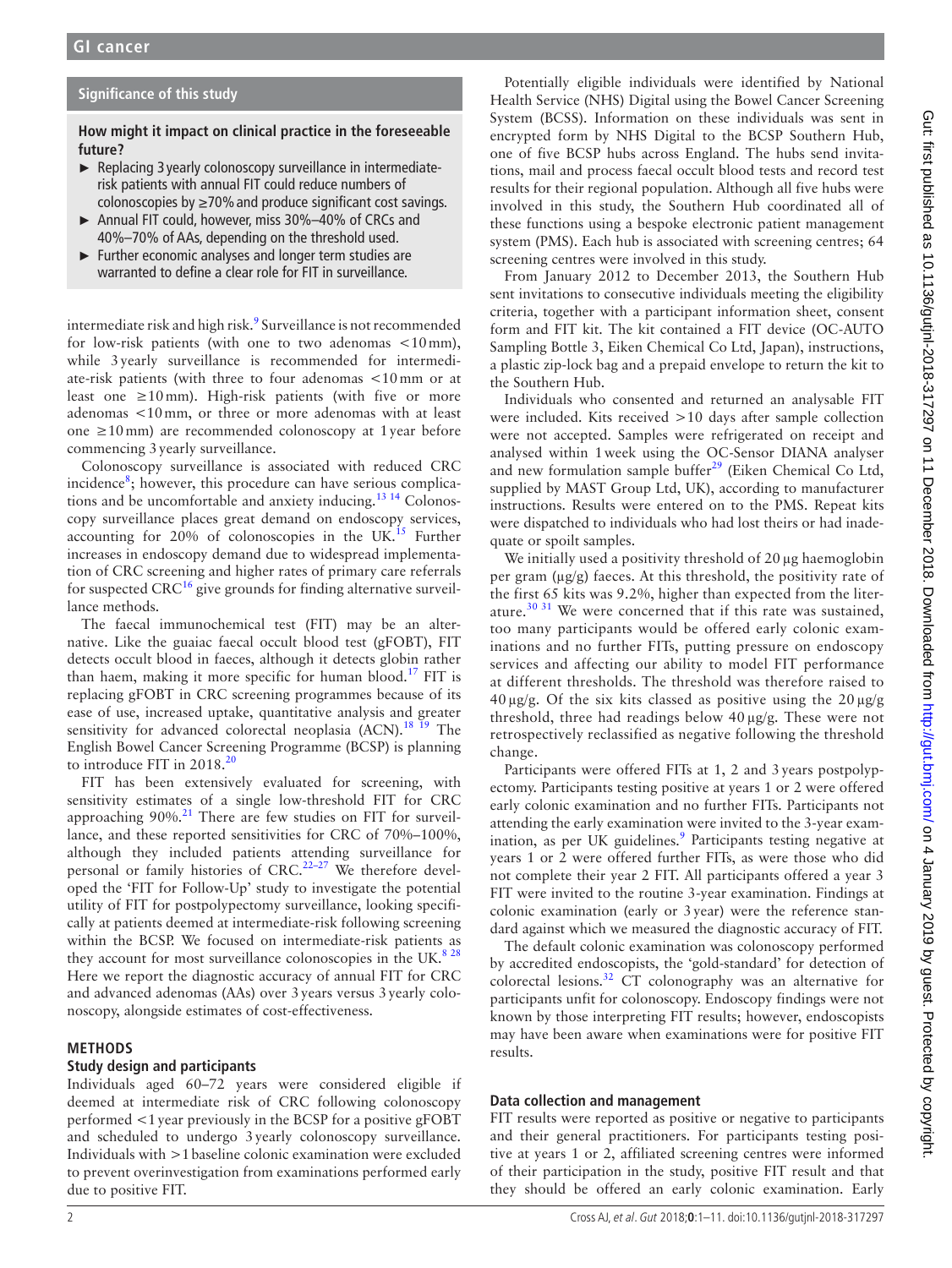### **Significance of this study**

**How might it impact on clinical practice in the foreseeable future?**

- ► Replacing 3 yearly colonoscopy surveillance in intermediaterisk patients with annual FIT could reduce numbers of colonoscopies by  $\geq$ 70% and produce significant cost savings.
- ► Annual FIT could, however, miss 30%–40% of CRCs and 40%–70% of AAs, depending on the threshold used.
- ► Further economic analyses and longer term studies are warranted to define a clear role for FIT in surveillance.

intermediate risk and high risk.<sup>[9](#page-9-3)</sup> Surveillance is not recommended for low-risk patients (with one to two adenomas <10mm), while 3yearly surveillance is recommended for intermediate-risk patients (with three to four adenomas <10mm or at least one  $\geq 10$  mm). High-risk patients (with five or more adenomas <10mm, or three or more adenomas with at least one ≥10mm) are recommended colonoscopy at 1year before commencing 3yearly surveillance.

Colonoscopy surveillance is associated with reduced CRC incidence<sup>[8](#page-9-4)</sup>; however, this procedure can have serious complications and be uncomfortable and anxiety inducing.<sup>13 14</sup> Colonoscopy surveillance places great demand on endoscopy services, accounting for  $20\%$  of colonoscopies in the UK.<sup>[15](#page-9-6)</sup> Further increases in endoscopy demand due to widespread implementation of CRC screening and higher rates of primary care referrals for suspected  $CRC^{16}$  give grounds for finding alternative surveillance methods.

The faecal immunochemical test (FIT) may be an alternative. Like the guaiac faecal occult blood test (gFOBT), FIT detects occult blood in faeces, although it detects globin rather than haem, making it more specific for human blood.<sup>17</sup> FIT is replacing gFOBT in CRC screening programmes because of its ease of use, increased uptake, quantitative analysis and greater sensitivity for advanced colorectal neoplasia  $(ACN).<sup>18 19</sup>$  The English Bowel Cancer Screening Programme (BCSP) is planning to introduce FIT in [20](#page-10-3)18.<sup>20</sup>

FIT has been extensively evaluated for screening, with sensitivity estimates of a single low-threshold FIT for CRC approaching 90%.<sup>21</sup> There are few studies on FIT for surveillance, and these reported sensitivities for CRC of 70%–100%, although they included patients attending surveillance for personal or family histories of CRC.<sup>22-27</sup> We therefore developed the 'FIT for Follow-Up' study to investigate the potential utility of FIT for postpolypectomy surveillance, looking specifically at patients deemed at intermediate-risk following screening within the BCSP. We focused on intermediate-risk patients as they account for most surveillance colonoscopies in the UK. $828$ Here we report the diagnostic accuracy of annual FIT for CRC and advanced adenomas (AAs) over 3years versus 3yearly colonoscopy, alongside estimates of cost-effectiveness.

#### **Methods**

## **Study design and participants**

Individuals aged 60–72 years were considered eligible if deemed at intermediate risk of CRC following colonoscopy performed <1year previously in the BCSP for a positive gFOBT and scheduled to undergo 3yearly colonoscopy surveillance. Individuals with >1baseline colonic examination were excluded to prevent overinvestigation from examinations performed early due to positive FIT.

Potentially eligible individuals were identified by National Health Service (NHS) Digital using the Bowel Cancer Screening System (BCSS). Information on these individuals was sent in encrypted form by NHS Digital to the BCSP Southern Hub, one of five BCSP hubs across England. The hubs send invitations, mail and process faecal occult blood tests and record test results for their regional population. Although all five hubs were involved in this study, the Southern Hub coordinated all of these functions using a bespoke electronic patient management system (PMS). Each hub is associated with screening centres; 64 screening centres were involved in this study.

From January 2012 to December 2013, the Southern Hub sent invitations to consecutive individuals meeting the eligibility criteria, together with a participant information sheet, consent form and FIT kit. The kit contained a FIT device (OC-AUTO Sampling Bottle 3, Eiken Chemical Co Ltd, Japan), instructions, a plastic zip-lock bag and a prepaid envelope to return the kit to the Southern Hub.

Individuals who consented and returned an analysable FIT were included. Kits received >10 days after sample collection were not accepted. Samples were refrigerated on receipt and analysed within 1week using the OC-Sensor DIANA analyser and new formulation sample buffer $29$  (Eiken Chemical Co Ltd, supplied by MAST Group Ltd, UK), according to manufacturer instructions. Results were entered on to the PMS. Repeat kits were dispatched to individuals who had lost theirs or had inadequate or spoilt samples.

We initially used a positivity threshold of  $20 \mu$ g haemoglobin per gram (µg/g) faeces. At this threshold, the positivity rate of the first 65 kits was 9.2%, higher than expected from the literature.<sup>30 31</sup> We were concerned that if this rate was sustained, too many participants would be offered early colonic examinations and no further FITs, putting pressure on endoscopy services and affecting our ability to model FIT performance at different thresholds. The threshold was therefore raised to  $40 \mu g/g$ . Of the six kits classed as positive using the  $20 \mu g/g$ threshold, three had readings below 40 µg/g. These were not retrospectively reclassified as negative following the threshold change.

Participants were offered FITs at 1, 2 and 3years postpolypectomy. Participants testing positive at years 1 or 2 were offered early colonic examination and no further FITs. Participants not attending the early examination were invited to the 3-year examination, as per UK guidelines.<sup>9</sup> Participants testing negative at years 1 or 2 were offered further FITs, as were those who did not complete their year 2 FIT. All participants offered a year 3 FIT were invited to the routine 3-year examination. Findings at colonic examination (early or 3year) were the reference standard against which we measured the diagnostic accuracy of FIT.

The default colonic examination was colonoscopy performed by accredited endoscopists, the 'gold-standard' for detection of colorectal lesions.[32](#page-10-8) CT colonography was an alternative for participants unfit for colonoscopy. Endoscopy findings were not known by those interpreting FIT results; however, endoscopists may have been aware when examinations were for positive FIT results.

#### **Data collection and management**

FIT results were reported as positive or negative to participants and their general practitioners. For participants testing positive at years 1 or 2, affiliated screening centres were informed of their participation in the study, positive FIT result and that they should be offered an early colonic examination. Early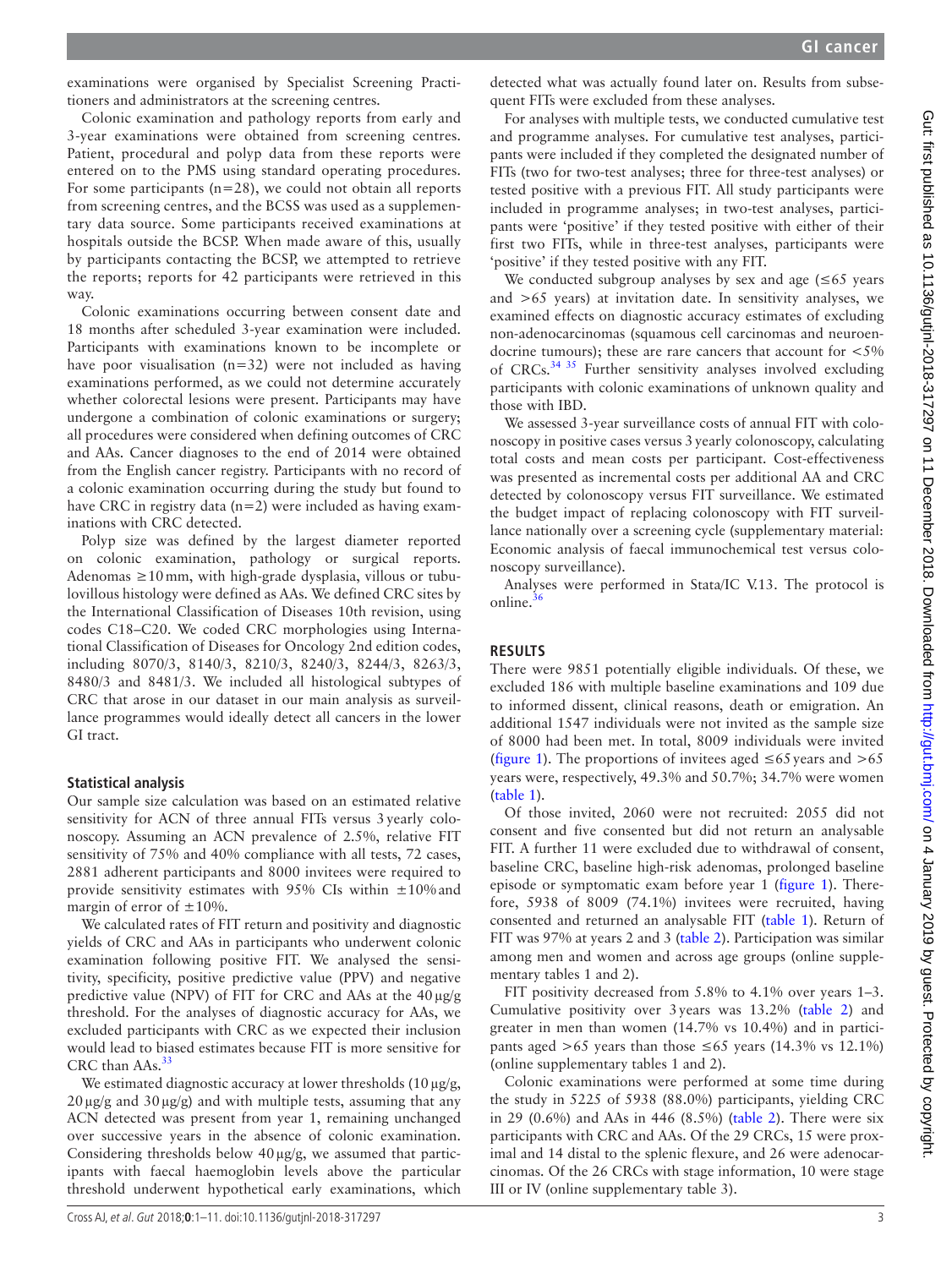examinations were organised by Specialist Screening Practitioners and administrators at the screening centres.

Colonic examination and pathology reports from early and 3-year examinations were obtained from screening centres. Patient, procedural and polyp data from these reports were entered on to the PMS using standard operating procedures. For some participants ( $n=28$ ), we could not obtain all reports from screening centres, and the BCSS was used as a supplementary data source. Some participants received examinations at hospitals outside the BCSP. When made aware of this, usually by participants contacting the BCSP, we attempted to retrieve the reports; reports for 42 participants were retrieved in this way.

Colonic examinations occurring between consent date and 18 months after scheduled 3-year examination were included. Participants with examinations known to be incomplete or have poor visualisation  $(n=32)$  were not included as having examinations performed, as we could not determine accurately whether colorectal lesions were present. Participants may have undergone a combination of colonic examinations or surgery; all procedures were considered when defining outcomes of CRC and AAs. Cancer diagnoses to the end of 2014 were obtained from the English cancer registry. Participants with no record of a colonic examination occurring during the study but found to have CRC in registry data (n=2) were included as having examinations with CRC detected.

Polyp size was defined by the largest diameter reported on colonic examination, pathology or surgical reports. Adenomas ≥10mm, with high-grade dysplasia, villous or tubulovillous histology were defined as AAs. We defined CRC sites by the International Classification of Diseases 10th revision, using codes C18–C20. We coded CRC morphologies using International Classification of Diseases for Oncology 2nd edition codes, including 8070/3, 8140/3, 8210/3, 8240/3, 8244/3, 8263/3, 8480/3 and 8481/3. We included all histological subtypes of CRC that arose in our dataset in our main analysis as surveillance programmes would ideally detect all cancers in the lower GI tract.

#### **Statistical analysis**

Our sample size calculation was based on an estimated relative sensitivity for ACN of three annual FITs versus 3yearly colonoscopy. Assuming an ACN prevalence of 2.5%, relative FIT sensitivity of 75% and 40% compliance with all tests, 72 cases, 2881 adherent participants and 8000 invitees were required to provide sensitivity estimates with 95% CIs within  $\pm 10\%$  and margin of error of  $\pm 10\%$ .

We calculated rates of FIT return and positivity and diagnostic yields of CRC and AAs in participants who underwent colonic examination following positive FIT. We analysed the sensitivity, specificity, positive predictive value (PPV) and negative predictive value (NPV) of FIT for CRC and AAs at the 40µg/g threshold. For the analyses of diagnostic accuracy for AAs, we excluded participants with CRC as we expected their inclusion would lead to biased estimates because FIT is more sensitive for CRC than AAs.<sup>[33](#page-10-9)</sup>

We estimated diagnostic accuracy at lower thresholds  $(10 \mu g/g,$  $20 \mu g/g$  and  $30 \mu g/g$ ) and with multiple tests, assuming that any ACN detected was present from year 1, remaining unchanged over successive years in the absence of colonic examination. Considering thresholds below 40µg/g, we assumed that participants with faecal haemoglobin levels above the particular threshold underwent hypothetical early examinations, which

detected what was actually found later on. Results from subsequent FITs were excluded from these analyses.

For analyses with multiple tests, we conducted cumulative test and programme analyses. For cumulative test analyses, participants were included if they completed the designated number of FITs (two for two-test analyses; three for three-test analyses) or tested positive with a previous FIT. All study participants were included in programme analyses; in two-test analyses, participants were 'positive' if they tested positive with either of their first two FITs, while in three-test analyses, participants were 'positive' if they tested positive with any FIT.

We conducted subgroup analyses by sex and age  $(\leq 65$  years and >65 years) at invitation date. In sensitivity analyses, we examined effects on diagnostic accuracy estimates of excluding non-adenocarcinomas (squamous cell carcinomas and neuroendocrine tumours); these are rare cancers that account for <5% of CRCs. $34\,35$  Further sensitivity analyses involved excluding participants with colonic examinations of unknown quality and those with IBD.

We assessed 3-year surveillance costs of annual FIT with colonoscopy in positive cases versus 3yearly colonoscopy, calculating total costs and mean costs per participant. Cost-effectiveness was presented as incremental costs per additional AA and CRC detected by colonoscopy versus FIT surveillance. We estimated the budget impact of replacing colonoscopy with FIT surveillance nationally over a screening cycle (supplementary material: Economic analysis of faecal immunochemical test versus colonoscopy surveillance).

Analyses were performed in Stata/IC V.13. The protocol is online. $36$ 

#### **Results**

There were 9851 potentially eligible individuals. Of these, we excluded 186 with multiple baseline examinations and 109 due to informed dissent, clinical reasons, death or emigration. An additional 1547 individuals were not invited as the sample size of 8000 had been met. In total, 8009 individuals were invited ([figure](#page-3-0) 1). The proportions of invitees aged  $\leq 65$  years and  $> 65$ years were, respectively, 49.3% and 50.7%; 34.7% were women ([table](#page-4-0) 1).

Of those invited, 2060 were not recruited: 2055 did not consent and five consented but did not return an analysable FIT. A further 11 were excluded due to withdrawal of consent, baseline CRC, baseline high-risk adenomas, prolonged baseline episode or symptomatic exam before year 1 [\(figure](#page-3-0) 1). Therefore, 5938 of 8009 (74.1%) invitees were recruited, having consented and returned an analysable FIT [\(table](#page-4-0) 1). Return of FIT was 97% at years 2 and 3 ([table](#page-4-1) 2). Participation was similar among men and women and across age groups (online [supple](https://dx.doi.org/10.1136/gutjnl-2018-317297)[mentary tables 1 and 2\)](https://dx.doi.org/10.1136/gutjnl-2018-317297).

FIT positivity decreased from 5.8% to 4.1% over years 1–3. Cumulative positivity over 3years was 13.2% ([table](#page-4-1) 2) and greater in men than women (14.7% vs 10.4%) and in participants aged >65 years than those  $\leq 65$  years (14.3% vs 12.1%) (online [supplementary tables 1 and 2](https://dx.doi.org/10.1136/gutjnl-2018-317297)).

Colonic examinations were performed at some time during the study in 5225 of 5938 (88.0%) participants, yielding CRC in 29 (0.6%) and AAs in 446 (8.5%) ([table](#page-4-1) 2). There were six participants with CRC and AAs. Of the 29 CRCs, 15 were proximal and 14 distal to the splenic flexure, and 26 were adenocarcinomas. Of the 26 CRCs with stage information, 10 were stage III or IV (online [supplementary table 3](https://dx.doi.org/10.1136/gutjnl-2018-317297)).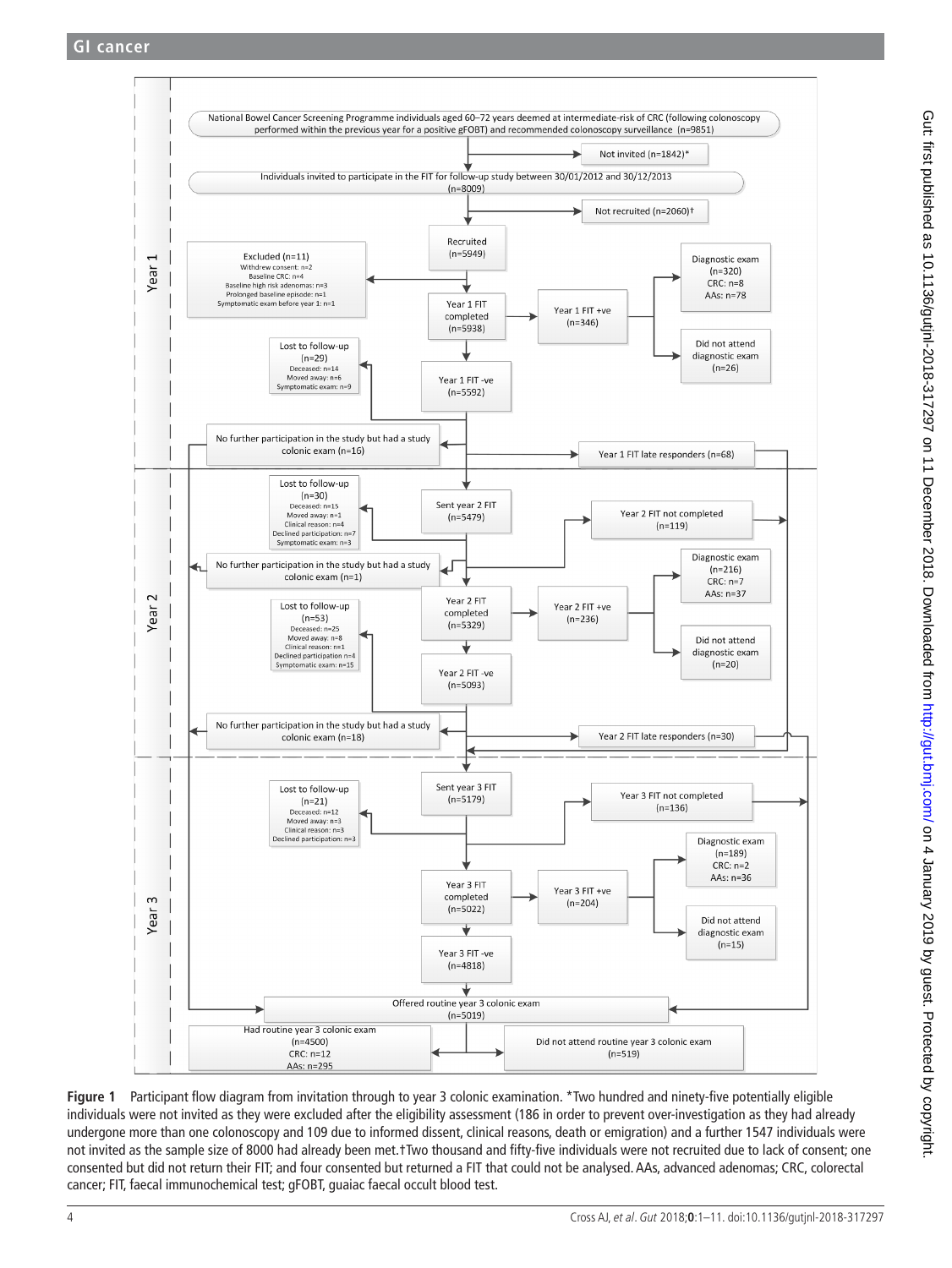

<span id="page-3-0"></span>**Figure 1** Participant flow diagram from invitation through to year 3 colonic examination. \*Two hundred and ninety-five potentially eligible individuals were not invited as they were excluded after the eligibility assessment (186 in order to prevent over-investigation as they had already undergone more than one colonoscopy and 109 due to informed dissent, clinical reasons, death or emigration) and a further 1547 individuals were not invited as the sample size of 8000 had already been met.†Two thousand and fifty-five individuals were not recruited due to lack of consent; one consented but did not return their FIT; and four consented but returned a FIT that could not be analysed. AAs, advanced adenomas; CRC, colorectal cancer; FIT, faecal immunochemical test; gFOBT, guaiac faecal occult blood test.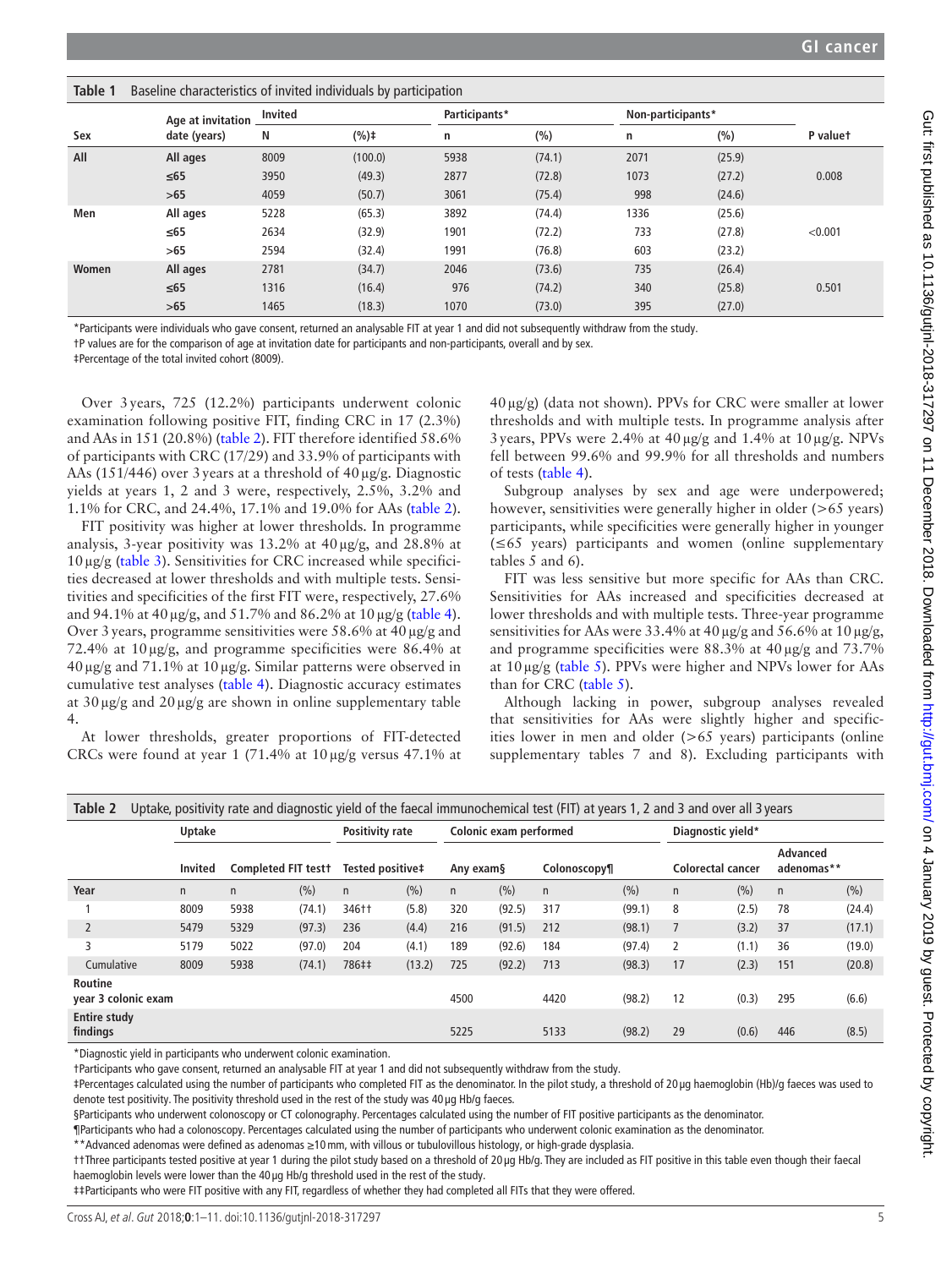<span id="page-4-0"></span>

|       | Age at invitation | <b>Invited</b> |         | Participants* |        | Non-participants* |        |          |
|-------|-------------------|----------------|---------|---------------|--------|-------------------|--------|----------|
| Sex   | date (years)      | N              | (%)t    | n             | (%)    | n                 | (%)    | P valuet |
| All   | All ages          | 8009           | (100.0) | 5938          | (74.1) | 2071              | (25.9) |          |
|       | $\leq 65$         | 3950           | (49.3)  | 2877          | (72.8) | 1073              | (27.2) | 0.008    |
|       | $>65$             | 4059           | (50.7)  | 3061          | (75.4) | 998               | (24.6) |          |
| Men   | All ages          | 5228           | (65.3)  | 3892          | (74.4) | 1336              | (25.6) |          |
|       | ≤65               | 2634           | (32.9)  | 1901          | (72.2) | 733               | (27.8) | < 0.001  |
|       | >65               | 2594           | (32.4)  | 1991          | (76.8) | 603               | (23.2) |          |
| Women | All ages          | 2781           | (34.7)  | 2046          | (73.6) | 735               | (26.4) |          |
|       | $\leq 65$         | 1316           | (16.4)  | 976           | (74.2) | 340               | (25.8) | 0.501    |
|       | $>65$             | 1465           | (18.3)  | 1070          | (73.0) | 395               | (27.0) |          |

\*Participants were individuals who gave consent, returned an analysable FIT at year 1 and did not subsequently withdraw from the study.

†P values are for the comparison of age at invitation date for participants and non-participants, overall and by sex.

‡Percentage of the total invited cohort (8009).

Over 3years, 725 (12.2%) participants underwent colonic examination following positive FIT, finding CRC in 17 (2.3%) and AAs in 151 (20.8%) [\(table](#page-4-1) 2). FIT therefore identified 58.6% of participants with CRC (17/29) and 33.9% of participants with AAs (151/446) over 3 years at a threshold of  $40 \mu g/g$ . Diagnostic yields at years 1, 2 and 3 were, respectively, 2.5%, 3.2% and 1.1% for CRC, and 24.4%, 17.1% and 19.0% for AAs [\(table](#page-4-1) 2).

FIT positivity was higher at lower thresholds. In programme analysis, 3-year positivity was 13.2% at 40µg/g, and 28.8% at  $10 \mu$ g/g [\(table](#page-5-0) 3). Sensitivities for CRC increased while specificities decreased at lower thresholds and with multiple tests. Sensitivities and specificities of the first FIT were, respectively, 27.6% and 94.1% at 40µg/g, and 51.7% and 86.2% at 10µg/g [\(table](#page-6-0) 4). Over 3 years, programme sensitivities were 58.6% at  $40 \mu g/g$  and 72.4% at 10µg/g, and programme specificities were 86.4% at 40µg/g and 71.1% at 10µg/g. Similar patterns were observed in cumulative test analyses ([table](#page-6-0) 4). Diagnostic accuracy estimates at  $30 \mu g/g$  and  $20 \mu g/g$  are shown in online supplementary table [4.](https://dx.doi.org/10.1136/gutjnl-2018-317297)

At lower thresholds, greater proportions of FIT-detected CRCs were found at year 1 (71.4% at 10µg/g versus 47.1% at

40µg/g) (data not shown). PPVs for CRC were smaller at lower thresholds and with multiple tests. In programme analysis after 3years, PPVs were 2.4% at 40µg/g and 1.4% at 10µg/g. NPVs fell between 99.6% and 99.9% for all thresholds and numbers of tests [\(table](#page-6-0) 4).

Subgroup analyses by sex and age were underpowered; however, sensitivities were generally higher in older (>65 years) participants, while specificities were generally higher in younger (≤65 years) participants and women (online [supplementary](https://dx.doi.org/10.1136/gutjnl-2018-317297) [tables 5 and 6](https://dx.doi.org/10.1136/gutjnl-2018-317297)).

FIT was less sensitive but more specific for AAs than CRC. Sensitivities for AAs increased and specificities decreased at lower thresholds and with multiple tests. Three-year programme sensitivities for AAs were 33.4% at 40  $\mu$ g/g and 56.6% at 10  $\mu$ g/g, and programme specificities were 88.3% at 40 µg/g and 73.7% at  $10 \mu g/g$  [\(table](#page-7-0) 5). PPVs were higher and NPVs lower for AAs than for CRC [\(table](#page-7-0) 5).

Although lacking in power, subgroup analyses revealed that sensitivities for AAs were slightly higher and specificities lower in men and older (>65 years) participants (online [supplementary tables 7 and 8\)](https://dx.doi.org/10.1136/gutjnl-2018-317297). Excluding participants with

<span id="page-4-1"></span>

| Table 2                               |                |                     |        |                  |        |           |                        | Uptake, positivity rate and diagnostic yield of the faecal immunochemical test (FIT) at years 1, 2 and 3 and over all 3 years |        |                          |       |                        |        |
|---------------------------------------|----------------|---------------------|--------|------------------|--------|-----------|------------------------|-------------------------------------------------------------------------------------------------------------------------------|--------|--------------------------|-------|------------------------|--------|
|                                       | Uptake         |                     |        | Positivity rate  |        |           | Colonic exam performed |                                                                                                                               |        | Diagnostic yield*        |       |                        |        |
|                                       | <b>Invited</b> | Completed FIT testt |        | Tested positive‡ |        | Any exam§ |                        | Colonoscopy¶                                                                                                                  |        | <b>Colorectal cancer</b> |       | Advanced<br>adenomas** |        |
| Year                                  | n              | $\mathsf{n}$        | (%)    | $\mathsf{n}$     | (%)    | n         | (%)                    | $\mathsf{n}$                                                                                                                  | (%)    | $\mathsf{n}$             | (%)   | $\mathsf{n}$           | (%)    |
|                                       | 8009           | 5938                | (74.1) | 346††            | (5.8)  | 320       | (92.5)                 | 317                                                                                                                           | (99.1) | 8                        | (2.5) | 78                     | (24.4) |
|                                       | 5479           | 5329                | (97.3) | 236              | (4.4)  | 216       | (91.5)                 | 212                                                                                                                           | (98.1) |                          | (3.2) | 37                     | (17.1) |
| 3                                     | 5179           | 5022                | (97.0) | 204              | (4.1)  | 189       | (92.6)                 | 184                                                                                                                           | (97.4) | 2                        | (1.1) | 36                     | (19.0) |
| Cumulative                            | 8009           | 5938                | (74.1) | 786##            | (13.2) | 725       | (92.2)                 | 713                                                                                                                           | (98.3) | 17                       | (2.3) | 151                    | (20.8) |
| <b>Routine</b><br>year 3 colonic exam |                |                     |        |                  |        | 4500      |                        | 4420                                                                                                                          | (98.2) | 12                       | (0.3) | 295                    | (6.6)  |
| <b>Entire study</b><br>findings       |                |                     |        |                  |        | 5225      |                        | 5133                                                                                                                          | (98.2) | 29                       | (0.6) | 446                    | (8.5)  |
|                                       |                |                     |        |                  |        |           |                        |                                                                                                                               |        |                          |       |                        |        |

\*Diagnostic yield in participants who underwent colonic examination.

†Participants who gave consent, returned an analysable FIT at year 1 and did not subsequently withdraw from the study.

‡Percentages calculated using the number of participants who completed FIT as the denominator. In the pilot study, a threshold of 20 µg haemoglobin (Hb)/g faeces was used to denote test positivity. The positivity threshold used in the rest of the study was 40 µg Hb/g faeces.

§Participants who underwent colonoscopy or CT colonography. Percentages calculated using the number of FIT positive participants as the denominator.

¶Participants who had a colonoscopy. Percentages calculated using the number of participants who underwent colonic examination as the denominator.

\*\*Advanced adenomas were defined as adenomas ≥10mm, with villous or tubulovillous histology, or high-grade dysplasia.

††Three participants tested positive at year 1 during the pilot study based on a threshold of 20 µg Hb/g. They are included as FIT positive in this table even though their faecal haemoglobin levels were lower than the 40 µg Hb/g threshold used in the rest of the study.

‡‡Participants who were FIT positive with any FIT, regardless of whether they had completed all FITs that they were offered.

Gut: first published as 10.1136/gutjnl-2018-317297 on 11 December 2018. Downloaded from http://gut.brnj.com/ on 4 January 2019 by guest. Protected by copyright Gut: tirst published as 10.1136/gutjnl-2018-317297 on 11 December 2018. Downloaded from thtp://gut.bmj.com/ on 4 January 2019 y guest. Protected by copyright.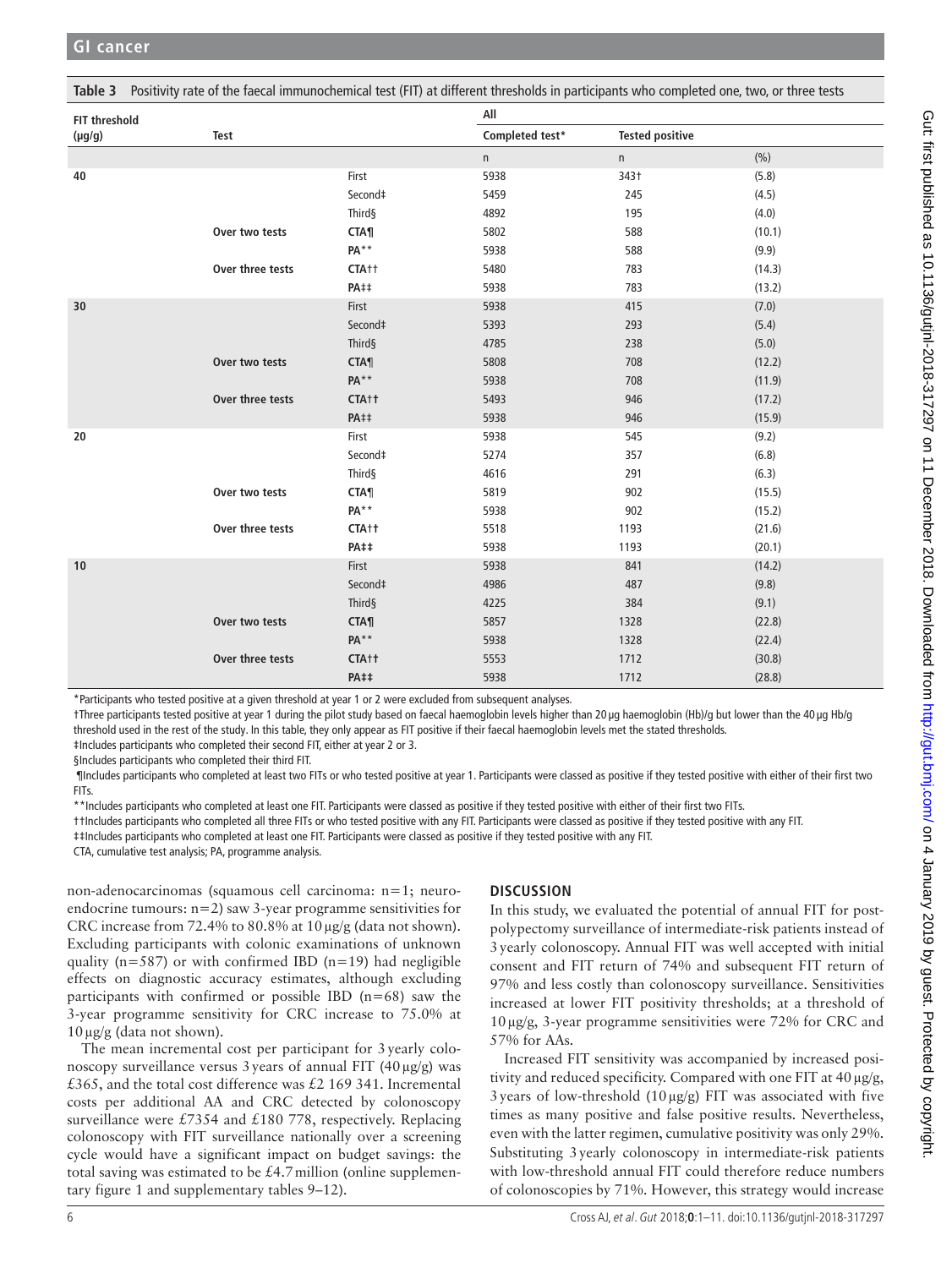<span id="page-5-0"></span>

| Table 3       | Positivity rate of the faecal immunochemical test (FIT) at different thresholds in participants who completed one, two, or three tests |                   |                 |                        |        |
|---------------|----------------------------------------------------------------------------------------------------------------------------------------|-------------------|-----------------|------------------------|--------|
| FIT threshold |                                                                                                                                        |                   | All             |                        |        |
| $(\mu g/g)$   | Test                                                                                                                                   |                   | Completed test* | <b>Tested positive</b> |        |
|               |                                                                                                                                        |                   | n               | n                      | (% )   |
| 40            |                                                                                                                                        | First             | 5938            | 343†                   | (5.8)  |
|               |                                                                                                                                        | Second‡           | 5459            | 245                    | (4.5)  |
|               |                                                                                                                                        | Third§            | 4892            | 195                    | (4.0)  |
|               | Over two tests                                                                                                                         | <b>CTA¶</b>       | 5802            | 588                    | (10.1) |
|               |                                                                                                                                        | PA**              | 5938            | 588                    | (9.9)  |
|               | Over three tests                                                                                                                       | CTA <sub>†</sub>  | 5480            | 783                    | (14.3) |
|               |                                                                                                                                        | <b>PA##</b>       | 5938            | 783                    | (13.2) |
| 30            |                                                                                                                                        | First             | 5938            | 415                    | (7.0)  |
|               |                                                                                                                                        | Second‡           | 5393            | 293                    | (5.4)  |
|               |                                                                                                                                        | Third§            | 4785            | 238                    | (5.0)  |
|               | Over two tests                                                                                                                         | <b>CTA</b> ¶      | 5808            | 708                    | (12.2) |
|               |                                                                                                                                        | <b>PA**</b>       | 5938            | 708                    | (11.9) |
|               | Over three tests                                                                                                                       | CTA++             | 5493            | 946                    | (17.2) |
|               |                                                                                                                                        | PA##              | 5938            | 946                    | (15.9) |
| 20            |                                                                                                                                        | First             | 5938            | 545                    | (9.2)  |
|               |                                                                                                                                        | Second‡           | 5274            | 357                    | (6.8)  |
|               |                                                                                                                                        | Third§            | 4616            | 291                    | (6.3)  |
|               | Over two tests                                                                                                                         | <b>CTA</b>        | 5819            | 902                    | (15.5) |
|               |                                                                                                                                        | PA**              | 5938            | 902                    | (15.2) |
|               | Over three tests                                                                                                                       | CTA <sub>tt</sub> | 5518            | 1193                   | (21.6) |
|               |                                                                                                                                        | <b>PA##</b>       | 5938            | 1193                   | (20.1) |
| 10            |                                                                                                                                        | First             | 5938            | 841                    | (14.2) |
|               |                                                                                                                                        | Second‡           | 4986            | 487                    | (9.8)  |
|               |                                                                                                                                        | Third§            | 4225            | 384                    | (9.1)  |
|               | Over two tests                                                                                                                         | <b>CTA¶</b>       | 5857            | 1328                   | (22.8) |
|               |                                                                                                                                        | $PA**$            | 5938            | 1328                   | (22.4) |
|               | Over three tests                                                                                                                       | CTA++             | 5553            | 1712                   | (30.8) |
|               |                                                                                                                                        | <b>PA##</b>       | 5938            | 1712                   | (28.8) |

\*Participants who tested positive at a given threshold at year 1 or 2 were excluded from subsequent analyses.

†Three participants tested positive at year 1 during the pilot study based on faecal haemoglobin levels higher than 20 µg haemoglobin (Hb)/g but lower than the 40 µg Hb/g threshold used in the rest of the study. In this table, they only appear as FIT positive if their faecal haemoglobin levels met the stated thresholds.

‡Includes participants who completed their second FIT, either at year 2 or 3.

§Includes participants who completed their third FIT.

 ¶Includes participants who completed at least two FITs or who tested positive at year 1. Participants were classed as positive if they tested positive with either of their first two FITs.

\*\*Includes participants who completed at least one FIT. Participants were classed as positive if they tested positive with either of their first two FITs.

††Includes participants who completed all three FITs or who tested positive with any FIT. Participants were classed as positive if they tested positive with any FIT.

‡‡Includes participants who completed at least one FIT. Participants were classed as positive if they tested positive with any FIT.

CTA, cumulative test analysis; PA, programme analysis.

non-adenocarcinomas (squamous cell carcinoma: n=1; neuroendocrine tumours: n=2) saw 3-year programme sensitivities for CRC increase from 72.4% to 80.8% at 10µg/g (data not shown). Excluding participants with colonic examinations of unknown quality ( $n=587$ ) or with confirmed IBD ( $n=19$ ) had negligible effects on diagnostic accuracy estimates, although excluding participants with confirmed or possible IBD  $(n=68)$  saw the 3-year programme sensitivity for CRC increase to 75.0% at 10µg/g (data not shown).

The mean incremental cost per participant for 3yearly colonoscopy surveillance versus 3 years of annual FIT  $(40 \mu g/g)$  was £365, and the total cost difference was £2 169 341. Incremental costs per additional AA and CRC detected by colonoscopy surveillance were £7354 and £180 778, respectively. Replacing colonoscopy with FIT surveillance nationally over a screening cycle would have a significant impact on budget savings: the total saving was estimated to be  $£4.7$  million (online [supplemen](https://dx.doi.org/10.1136/gutjnl-2018-317297)[tary figure 1](https://dx.doi.org/10.1136/gutjnl-2018-317297) and [supplementary tables 9–12\)](https://dx.doi.org/10.1136/gutjnl-2018-317297).

# **Discussion**

In this study, we evaluated the potential of annual FIT for postpolypectomy surveillance of intermediate-risk patients instead of 3yearly colonoscopy. Annual FIT was well accepted with initial consent and FIT return of 74% and subsequent FIT return of 97% and less costly than colonoscopy surveillance. Sensitivities increased at lower FIT positivity thresholds; at a threshold of  $10 \mu$ g/g, 3-year programme sensitivities were 72% for CRC and 57% for AAs.

Increased FIT sensitivity was accompanied by increased positivity and reduced specificity. Compared with one FIT at  $40 \mu g/g$ , 3 years of low-threshold  $(10 \mu g/g)$  FIT was associated with five times as many positive and false positive results. Nevertheless, even with the latter regimen, cumulative positivity was only 29%. Substituting 3yearly colonoscopy in intermediate-risk patients with low-threshold annual FIT could therefore reduce numbers of colonoscopies by 71%. However, this strategy would increase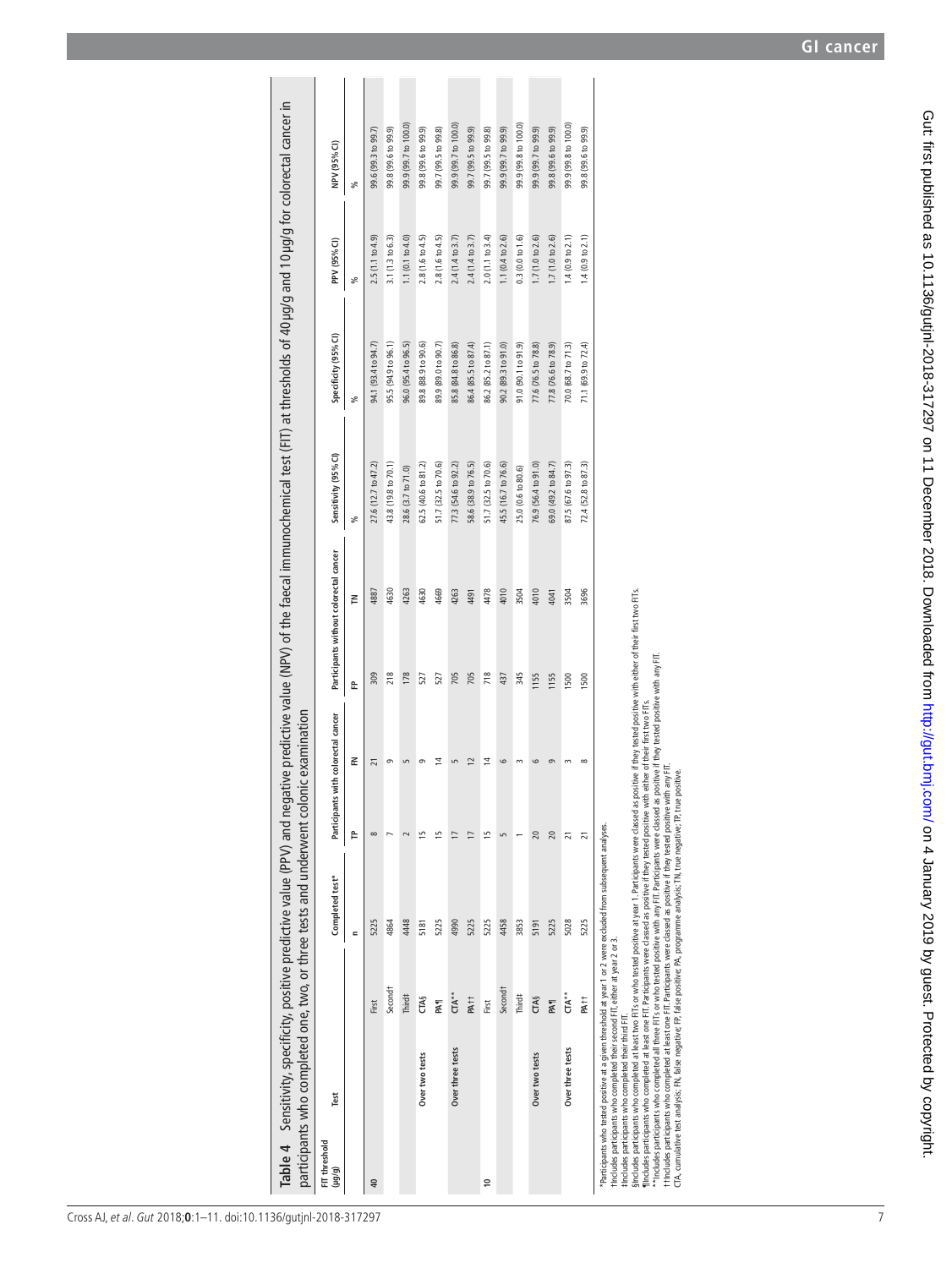|                                 |                     | Table 4 Sensitivity, specificity, positive predictive value (PPV) and negative predictive value (NPV) of the faecal immunochemical test (FIT) at thresholds of 40 µg/g and 10 µg/g for colorectal cancer in<br>participants who completed one, two, or three tests and underwent colonic examination |              |                        |                                        |      |                      |                      |                            |                      |
|---------------------------------|---------------------|------------------------------------------------------------------------------------------------------------------------------------------------------------------------------------------------------------------------------------------------------------------------------------------------------|--------------|------------------------|----------------------------------------|------|----------------------|----------------------|----------------------------|----------------------|
| Test<br>FIT threshold<br>(6/61) |                     | Completed test*                                                                                                                                                                                                                                                                                      | Participants | with colorectal cancer | Participants without colorectal cancer |      | Sensitivity (95% CI) | Specificity (95% CI) | PPV (95% CI)               | NPV (95% CI)         |
|                                 |                     | $\blacksquare$                                                                                                                                                                                                                                                                                       | Ê            | 준                      | 운                                      | 론    | ್ಗೆ                  | ್ಥೆ                  | ್ಯೆ                        | వి                   |
| $\overline{40}$                 | First               | 5225                                                                                                                                                                                                                                                                                                 | $\infty$     | ភ                      | 309                                    | 4887 | 27.6 (12.7 to 47.2)  | 94.1 (93.4 to 94.7)  | 2.5(1.1 to 4.9)            | 99.6 (99.3 to 99.7)  |
|                                 | Second <sup>†</sup> | 4864                                                                                                                                                                                                                                                                                                 |              |                        | 218                                    | 4630 | 43.8 (19.8 to 70.1)  | 95.5 (94.9 to 96.1)  | 3.1 (1.3 to 6.3)           | 99.8 (99.6 to 99.9)  |
|                                 | Third‡              | 4448                                                                                                                                                                                                                                                                                                 | $\sim$       |                        | 178                                    | 4263 | 28.6 (3.7 to 71.0)   | 96.0 (95.4 to 96.5)  | 1.1 $(0.1 to 4.0)$         | 99.9 (99.7 to 100.0) |
| Over two tests                  | <b>CTA§</b>         | 5181                                                                                                                                                                                                                                                                                                 | ١5           |                        | 527                                    | 4630 | 62.5 (40.6 to 81.2)  | 89.8 (88.9 to 90.6)  | 2.8 (1.6 to 4.5)           | 99.8 (99.6 to 99.9)  |
|                                 | PAT <sub>1</sub>    | 5225                                                                                                                                                                                                                                                                                                 |              | 4                      | 527                                    | 4669 | 51.7 (32.5 to 70.6)  | 89.9 (89.0 to 90.7)  | $2.8(1.6 \text{ to } 4.5)$ | 99.7 (99.5 to 99.8)  |
| Over three tests                | $T A^*$             | 4990                                                                                                                                                                                                                                                                                                 |              |                        | 705                                    | 4263 | 77.3 (54.6 to 92.2)  | 85.8 (84.8 to 86.8)  | 2.4(1.4 to 3.7)            | 99.9 (99.7 to 100.0) |
|                                 | PA <sub>tt</sub>    | 5225                                                                                                                                                                                                                                                                                                 | Ξ            | 12                     | 705                                    | 4491 | 58.6 (38.9 to 76.5)  | 86.4 (85.5 to 87.4)  | 2.4(1.4 to 3.7)            | 99.7 (99.5 to 99.9)  |
| $\approx$                       | First               | 5225                                                                                                                                                                                                                                                                                                 | 15           | $\overline{4}$         | 718                                    | 4478 | 51.7 (32.5 to 70.6)  | 86.2 (85.2 to 87.1)  | 2.0(1.1 to 3.4)            | 99.7 (99.5 to 99.8)  |
|                                 | Second <sup>†</sup> | 4458                                                                                                                                                                                                                                                                                                 | S            | G                      | 437                                    | 4010 | 45.5 (16.7 to 76.6)  | 90.2 (89.3 to 91.0)  | 1.1 (0.4 to 2.6)           | 99.9 (99.7 to 99.9)  |
|                                 | Third#              | 3853                                                                                                                                                                                                                                                                                                 |              |                        | 345                                    | 3504 | 25.0 (0.6 to 80.6)   | 91.0 (90.1 to 91.9)  | 0.3(0.0 to 1.6)            | 99.9 (99.8 to 100.0) |
| Over two tests                  | <b>CTA§</b>         | 5191                                                                                                                                                                                                                                                                                                 | 20           |                        | 1155                                   | 4010 | 76.9 (56.4 to 91.0)  | 77.6 (76.5 to 78.8)  | 1.7(1.0 to 2.6)            | 99.9 (99.7 to 99.9)  |
|                                 | <b>PAT</b>          | 5225                                                                                                                                                                                                                                                                                                 | 20           |                        | 1155                                   | 4041 | 69.0 (49.2 to 84.7)  | 77.8 (76.6 to 78.9)  | 1.7(1.0 to 2.6)            | 99.8 (99.6 to 99.9)  |
| Over three tests                | $TAA^*$             | 5028                                                                                                                                                                                                                                                                                                 | ភ            |                        | 1500                                   | 3504 | 87.5 (67.6 to 97.3)  | 70.0 (68.7 to 71.3)  | 1.4(0.9 to 2.1)            | 99.9 (99.8 to 100.0) |
|                                 | PA <sub>††</sub>    | 5225                                                                                                                                                                                                                                                                                                 |              |                        | 1500                                   | 3696 | 72.4 (52.8 to 87.3)  | 71.1 (69.9 to 72.4)  | 1.4(0.9 to 2.1)            | 99.8 (99.6 to 99.9)  |

99.8 (99.6 to 99.9)

"Participants who tested positive at a given threshold at year 1 or 2 were excluded from subsequent analyses.<br>Throudes participants who completed their second FT, either at year 2 or 3.<br>#Includes participants who completed \*Participants who tested positive at a given threshold at year 1 or 2 were excluded from subsequent analyses.

<span id="page-6-0"></span>†Includes participants who completed their second FIT, either at year 2 or 3.

‡Includes participants who completed their third FIT.

§indudes participants who completed at least two FITs or who tested positive at year 1 . Participants were classed as positive if they tested positive with either of their first two FITs.<br>"Includes participants who complet §Includes participants who completed at least two FITs or who tested positive at year 1. Participants were classed as positive if they tested positive with either of their first two FITs.

¶Includes participants who completed at least one FIT. Participants were classed as positive if they tested positive with either of their first two FITs.

\*\*Includes participants who completed all three FITs or who tested positive with any FIT. Participants were classed as positive if they tested positive with any FIT.

††Includes participants who completed at least one FIT. Participants were classed as positive if they tested positive with any FIT. CTA, cumulative test analysis; FN, false negative; FP, false positive; PA, programme analysis; TN, true negative; TP, true positive.

7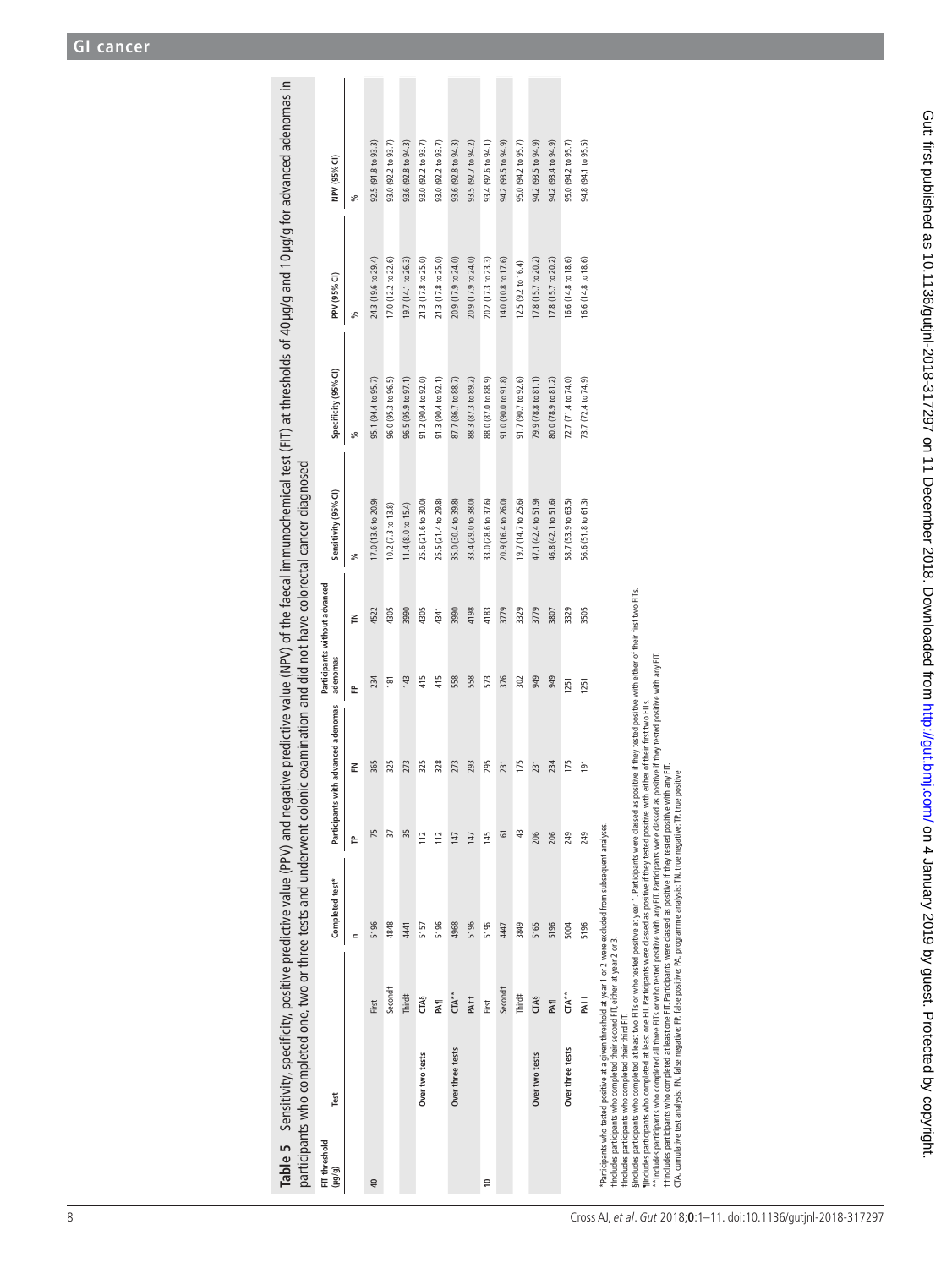| Table 5 Sensitivity, specificity, positive predictive value (PPV) and negative predictive value (NPV) of the faecal immunochemical test (FIT) at thresholds of 40 µg/g and 10 µg/g for advanced adenomas in<br>participants who completed one, two or three tests and underwent colonic examination and did not have colorectal cancer diagnosed                                                                                                                                                                                                                                 |                     |                 |     |                                     |                                           |        |                               |                      |                     |                     |
|----------------------------------------------------------------------------------------------------------------------------------------------------------------------------------------------------------------------------------------------------------------------------------------------------------------------------------------------------------------------------------------------------------------------------------------------------------------------------------------------------------------------------------------------------------------------------------|---------------------|-----------------|-----|-------------------------------------|-------------------------------------------|--------|-------------------------------|----------------------|---------------------|---------------------|
| Test<br>FIT threshold<br>(6/61)                                                                                                                                                                                                                                                                                                                                                                                                                                                                                                                                                  |                     | Completed test* |     | Participants with advanced adenomas | Participants without advanced<br>adenomas |        | Sensitivity (95% CI)          | Specificity (95% CI) | PPV (95% CI)        | NPV (95% CI)        |
|                                                                                                                                                                                                                                                                                                                                                                                                                                                                                                                                                                                  |                     | c               | Ê   | 준                                   | 운                                         | $\leq$ | వ్                            | వ్                   | వ్                  | వ్                  |
| $\overline{40}$                                                                                                                                                                                                                                                                                                                                                                                                                                                                                                                                                                  | First               | 5196            | 75  | 365                                 | 234                                       | 4522   | I7.0 (13.6 to 20.9)           | 95.1 (94.4 to 95.7)  | 24.3 (19.6 to 29.4) | 92.5 (91.8 to 93.3) |
|                                                                                                                                                                                                                                                                                                                                                                                                                                                                                                                                                                                  | Second <sup>†</sup> | 4848            | 57  | 325                                 | $\frac{18}{18}$                           | 4305   | 10.2 (7.3 to 13.8)            | 96.0 (95.3 to 96.5)  | 17.0 (12.2 to 22.6) | 93.0 (92.2 to 93.7) |
|                                                                                                                                                                                                                                                                                                                                                                                                                                                                                                                                                                                  | Third#              | 441             | 35  | 273                                 | 143                                       | 3990   | 11.4 $(8.0 \text{ to } 15.4)$ | 96.5 (95.9 to 97.1)  | 19.7 (14.1 to 26.3) | 93.6 (92.8 to 94.3) |
| Over two tests                                                                                                                                                                                                                                                                                                                                                                                                                                                                                                                                                                   | <b>CTA§</b>         | 5157            | 112 | 325                                 | 415                                       | 4305   | 25.6 (21.6 to 30.0)           | 91.2 (90.4 to 92.0)  | 21.3 (17.8 to 25.0) | 93.0 (92.2 to 93.7) |
|                                                                                                                                                                                                                                                                                                                                                                                                                                                                                                                                                                                  | PAT                 | 5196            | 112 | 328                                 | 415                                       | 4341   | 25.5 (21.4 to 29.8)           | 91.3(90.4 to 92.1)   | 21.3 (17.8 to 25.0) | 93.0 (92.2 to 93.7) |
| Over three tests                                                                                                                                                                                                                                                                                                                                                                                                                                                                                                                                                                 | $CTA**$             | 4968            | 147 | 273                                 | 558                                       | 3990   | 35.0 (30.4 to 39.8)           | 87.7 (86.7 to 88.7)  | 20.9 (17.9 to 24.0) | 93.6 (92.8 to 94.3) |
|                                                                                                                                                                                                                                                                                                                                                                                                                                                                                                                                                                                  | PA <sub>††</sub>    | 5196            | 147 | 293                                 | 558                                       | 4198   | 33.4 (29.0 to 38.0)           | 88.3 (87.3 to 89.2)  | 20.9 (17.9 to 24.0) | 93.5 (92.7 to 94.2) |
| $\approx$                                                                                                                                                                                                                                                                                                                                                                                                                                                                                                                                                                        | First               | 5196            | 145 | 295                                 | 573                                       | 4183   | 33.0 (28.6 to 37.6)           | 88.0 (87.0 to 88.9)  | 20.2 (17.3 to 23.3) | 93.4 (92.6 to 94.1) |
|                                                                                                                                                                                                                                                                                                                                                                                                                                                                                                                                                                                  | Second <sup>+</sup> | 4447            | 51  | 231                                 | 376                                       | 3779   | 20.9 (16.4 to 26.0)           | 91.0 (90.0 to 91.8)  | 14.0 (10.8 to 17.6) | 94.2 (93.5 to 94.9) |
|                                                                                                                                                                                                                                                                                                                                                                                                                                                                                                                                                                                  | Third#              | 3849            | ₩   | 175                                 | 302                                       | 3329   | 19.7 (14.7 to 25.6)           | 91.7 (90.7 to 92.6)  | 12.5 (9.2 to 16.4)  | 95.0 (94.2 to 95.7) |
| Over two tests                                                                                                                                                                                                                                                                                                                                                                                                                                                                                                                                                                   | <b>CTA§</b>         | 5165            | 206 | 231                                 | 949                                       | 3779   | 47.1 (42.4 to 51.9)           | 79.9 (78.8 to 81.1)  | 17.8 (15.7 to 20.2) | 94.2 (93.5 to 94.9) |
|                                                                                                                                                                                                                                                                                                                                                                                                                                                                                                                                                                                  | <b>PAS</b>          | 5196            | 206 | 234                                 | 949                                       | 3807   | 46.8 (42.1 to 51.6)           | 80.0 (78.9 to 81.2)  | 17.8 (15.7 to 20.2) | 94.2 (93.4 to 94.9) |
| Over three tests                                                                                                                                                                                                                                                                                                                                                                                                                                                                                                                                                                 | $T A^*$             | 5004            | 249 | 175                                 | 1251                                      | 3329   | 58.7 (53.9 to 63.5)           | 72.7 (71.4 to 74.0)  | 16.6 (14.8 to 18.6) | 95.0 (94.2 to 95.7) |
|                                                                                                                                                                                                                                                                                                                                                                                                                                                                                                                                                                                  | PA <sub>††</sub>    | 5196            | 249 | 191                                 | 1251                                      | 3505   | 56.6 (51.8 to 61.3)           | 73.7 (72.4 to 74.9)  | 16.6 (14.8 to 18.6) | 94.8 (94.1 to 95.5) |
| Sincludes participants who completed at least two FITs or who tested positive at year 1. Participants were classed as positive if they tested positive with either of their first two FITs.<br>llncludes participants who completed at least one FIT. Participants were classed as positive if they tested positive with<br>Participants who tested positive at a given threshold at year 1 or 2 were excluded from subsequent analyses.<br>findudes participants who completed their second FIT, either at year 2 or 3.<br>#Indudes participants who completed their third FIT. |                     |                 |     | either of their first two FITs      |                                           |        |                               |                      |                     |                     |

\*\* Includes participants who completed all three FITs or who tested positive with any FIT. Participants were classed as positive if they tested positive with any FIT.<br>††holudes participants who completed at least one FIT. \*\*Includes participants who completed all three FITs or who tested positive with any FIT. Participants were classed as positive if they tested positive with any FIT. ††Includes participants who completed at least one FIT. Participants were classed as positive if they tested positive with any FIT.

<span id="page-7-0"></span>CTA, cumulative test analysis; FN, false negative; FP, false positive; PA, programme analysis; TN, true negative; TP, true positive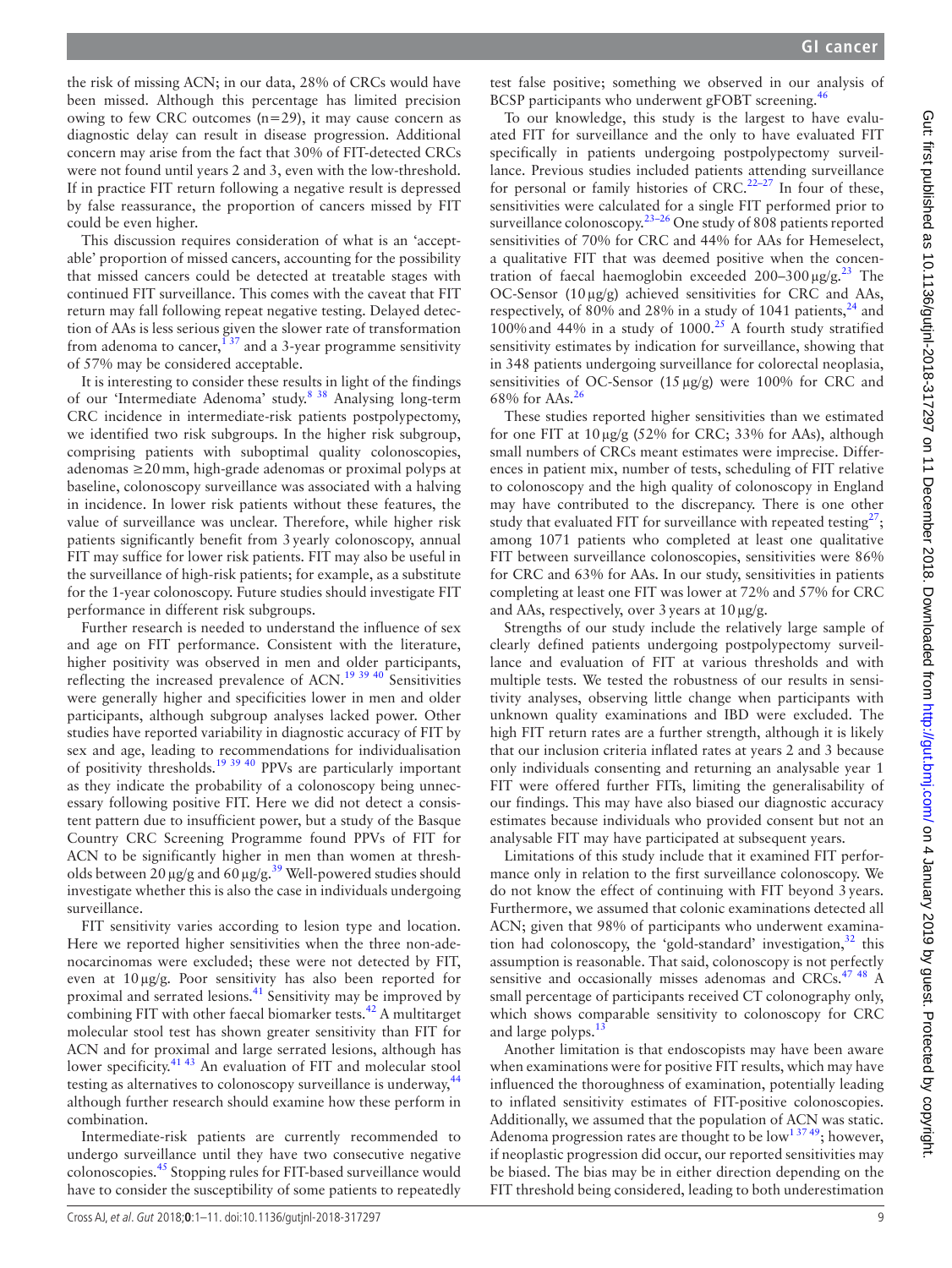the risk of missing ACN; in our data, 28% of CRCs would have been missed. Although this percentage has limited precision owing to few CRC outcomes (n=29), it may cause concern as diagnostic delay can result in disease progression. Additional concern may arise from the fact that 30% of FIT-detected CRCs were not found until years 2 and 3, even with the low-threshold. If in practice FIT return following a negative result is depressed by false reassurance, the proportion of cancers missed by FIT could be even higher.

This discussion requires consideration of what is an 'acceptable' proportion of missed cancers, accounting for the possibility that missed cancers could be detected at treatable stages with continued FIT surveillance. This comes with the caveat that FIT return may fall following repeat negative testing. Delayed detection of AAs is less serious given the slower rate of transformation from adenoma to cancer,  $\frac{137}{137}$  and a 3-year programme sensitivity of 57% may be considered acceptable.

It is interesting to consider these results in light of the findings of our 'Intermediate Adenoma' study[.8 38](#page-9-4) Analysing long-term CRC incidence in intermediate-risk patients postpolypectomy, we identified two risk subgroups. In the higher risk subgroup, comprising patients with suboptimal quality colonoscopies, adenomas ≥20mm, high-grade adenomas or proximal polyps at baseline, colonoscopy surveillance was associated with a halving in incidence. In lower risk patients without these features, the value of surveillance was unclear. Therefore, while higher risk patients significantly benefit from 3yearly colonoscopy, annual FIT may suffice for lower risk patients. FIT may also be useful in the surveillance of high-risk patients; for example, as a substitute for the 1-year colonoscopy. Future studies should investigate FIT performance in different risk subgroups.

Further research is needed to understand the influence of sex and age on FIT performance. Consistent with the literature, higher positivity was observed in men and older participants, reflecting the increased prevalence of  $ACN$ <sup>[19 39 40](#page-10-12)</sup> Sensitivities were generally higher and specificities lower in men and older participants, although subgroup analyses lacked power. Other studies have reported variability in diagnostic accuracy of FIT by sex and age, leading to recommendations for individualisation of positivity thresholds.[19 39 40](#page-10-12) PPVs are particularly important as they indicate the probability of a colonoscopy being unnecessary following positive FIT. Here we did not detect a consistent pattern due to insufficient power, but a study of the Basque Country CRC Screening Programme found PPVs of FIT for ACN to be significantly higher in men than women at thresholds between 20  $\mu$ g/g and 60  $\mu$ g/g.<sup>39</sup> Well-powered studies should investigate whether this is also the case in individuals undergoing surveillance.

FIT sensitivity varies according to lesion type and location. Here we reported higher sensitivities when the three non-adenocarcinomas were excluded; these were not detected by FIT, even at 10µg/g. Poor sensitivity has also been reported for proximal and serrated lesions[.41](#page-10-14) Sensitivity may be improved by combining FIT with other faecal biomarker tests.<sup>42</sup> A multitarget molecular stool test has shown greater sensitivity than FIT for ACN and for proximal and large serrated lesions, although has lower specificity.<sup>[41 43](#page-10-14)</sup> An evaluation of FIT and molecular stool testing as alternatives to colonoscopy surveillance is underway,<sup>[44](#page-10-16)</sup> although further research should examine how these perform in combination.

Intermediate-risk patients are currently recommended to undergo surveillance until they have two consecutive negative colonoscopies.[45](#page-10-17) Stopping rules for FIT-based surveillance would have to consider the susceptibility of some patients to repeatedly

test false positive; something we observed in our analysis of BCSP participants who underwent gFOBT screening.<sup>4</sup>

To our knowledge, this study is the largest to have evaluated FIT for surveillance and the only to have evaluated FIT specifically in patients undergoing postpolypectomy surveillance. Previous studies included patients attending surveillance for personal or family histories of CRC.<sup>22–27</sup> In four of these, sensitivities were calculated for a single FIT performed prior to surveillance colonoscopy.<sup>23–26</sup> One study of 808 patients reported sensitivities of 70% for CRC and 44% for AAs for Hemeselect, a qualitative FIT that was deemed positive when the concentration of faecal haemoglobin exceeded  $200-300 \mu g/g.<sup>23</sup>$  $200-300 \mu g/g.<sup>23</sup>$  $200-300 \mu g/g.<sup>23</sup>$  The OC-Sensor (10µg/g) achieved sensitivities for CRC and AAs, respectively, of 80% and 28% in a study of 1041 patients,  $24$  and 100%and 44% in a study of 1000.[25](#page-10-21) A fourth study stratified sensitivity estimates by indication for surveillance, showing that in 348 patients undergoing surveillance for colorectal neoplasia, sensitivities of OC-Sensor (15 µg/g) were 100% for CRC and 68% for AAs.<sup>26</sup>

These studies reported higher sensitivities than we estimated for one FIT at  $10 \mu g/g$  (52% for CRC; 33% for AAs), although small numbers of CRCs meant estimates were imprecise. Differences in patient mix, number of tests, scheduling of FIT relative to colonoscopy and the high quality of colonoscopy in England may have contributed to the discrepancy. There is one other study that evaluated FIT for surveillance with repeated testing $27$ ; among 1071 patients who completed at least one qualitative FIT between surveillance colonoscopies, sensitivities were 86% for CRC and 63% for AAs. In our study, sensitivities in patients completing at least one FIT was lower at 72% and 57% for CRC and AAs, respectively, over 3 years at  $10 \mu\text{g/g}$ .

Strengths of our study include the relatively large sample of clearly defined patients undergoing postpolypectomy surveillance and evaluation of FIT at various thresholds and with multiple tests. We tested the robustness of our results in sensitivity analyses, observing little change when participants with unknown quality examinations and IBD were excluded. The high FIT return rates are a further strength, although it is likely that our inclusion criteria inflated rates at years 2 and 3 because only individuals consenting and returning an analysable year 1 FIT were offered further FITs, limiting the generalisability of our findings. This may have also biased our diagnostic accuracy estimates because individuals who provided consent but not an analysable FIT may have participated at subsequent years.

Limitations of this study include that it examined FIT performance only in relation to the first surveillance colonoscopy. We do not know the effect of continuing with FIT beyond 3years. Furthermore, we assumed that colonic examinations detected all ACN; given that 98% of participants who underwent examination had colonoscopy, the 'gold-standard' investigation, $32$  this assumption is reasonable. That said, colonoscopy is not perfectly sensitive and occasionally misses adenomas and CRCs.<sup>[47 48](#page-10-24)</sup> A small percentage of participants received CT colonography only, which shows comparable sensitivity to colonoscopy for CRC and large polyps.<sup>1</sup>

Another limitation is that endoscopists may have been aware when examinations were for positive FIT results, which may have influenced the thoroughness of examination, potentially leading to inflated sensitivity estimates of FIT-positive colonoscopies. Additionally, we assumed that the population of ACN was static. Adenoma progression rates are thought to be  $\text{low}^{13749}$ ; however, if neoplastic progression did occur, our reported sensitivities may be biased. The bias may be in either direction depending on the FIT threshold being considered, leading to both underestimation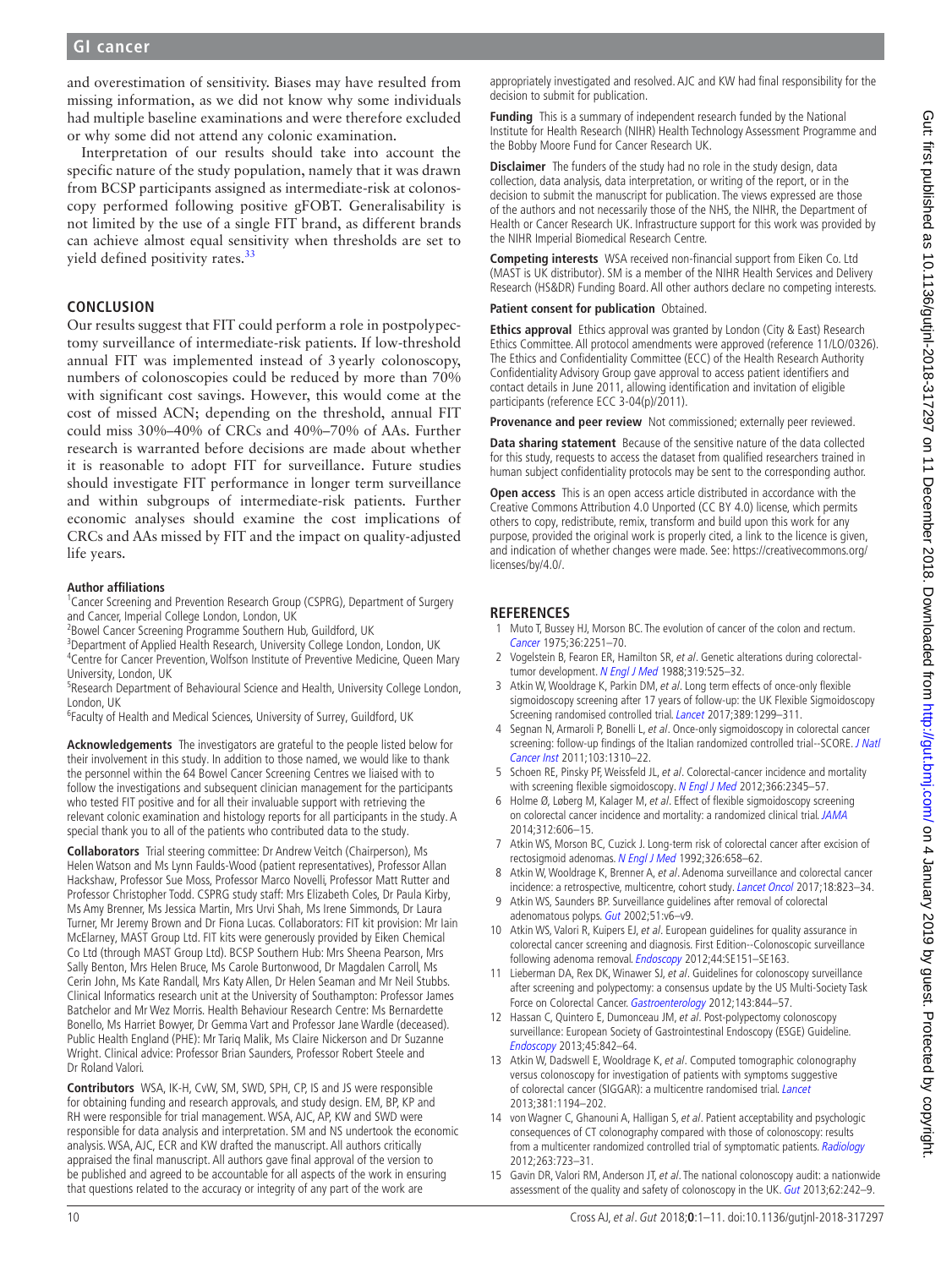and overestimation of sensitivity. Biases may have resulted from missing information, as we did not know why some individuals had multiple baseline examinations and were therefore excluded or why some did not attend any colonic examination.

Interpretation of our results should take into account the specific nature of the study population, namely that it was drawn from BCSP participants assigned as intermediate-risk at colonoscopy performed following positive gFOBT. Generalisability is not limited by the use of a single FIT brand, as different brands can achieve almost equal sensitivity when thresholds are set to yield defined positivity rates.<sup>33</sup>

#### **Conclusion**

Our results suggest that FIT could perform a role in postpolypectomy surveillance of intermediate-risk patients. If low-threshold annual FIT was implemented instead of 3yearly colonoscopy, numbers of colonoscopies could be reduced by more than 70% with significant cost savings. However, this would come at the cost of missed ACN; depending on the threshold, annual FIT could miss 30%–40% of CRCs and 40%–70% of AAs. Further research is warranted before decisions are made about whether it is reasonable to adopt FIT for surveillance. Future studies should investigate FIT performance in longer term surveillance and within subgroups of intermediate-risk patients. Further economic analyses should examine the cost implications of CRCs and AAs missed by FIT and the impact on quality-adjusted life years.

#### **Author affiliations**

<sup>1</sup> Cancer Screening and Prevention Research Group (CSPRG), Department of Surgery and Cancer, Imperial College London, London, UK <sup>2</sup>

 ${}^{2}$ Bowel Cancer Screening Programme Southern Hub, Guildford, UK

<sup>3</sup>Department of Applied Health Research, University College London, London, UK <sup>4</sup> Centre for Cancer Prevention, Wolfson Institute of Preventive Medicine, Queen Mary

University, London, UK <sup>5</sup> <sup>5</sup>Research Department of Behavioural Science and Health, University College London,

London, UK

<sup>6</sup>Faculty of Health and Medical Sciences, University of Surrey, Guildford, UK

**Acknowledgements** The investigators are grateful to the people listed below for their involvement in this study. In addition to those named, we would like to thank the personnel within the 64 Bowel Cancer Screening Centres we liaised with to follow the investigations and subsequent clinician management for the participants who tested FIT positive and for all their invaluable support with retrieving the relevant colonic examination and histology reports for all participants in the study. A special thank you to all of the patients who contributed data to the study.

**Collaborators** Trial steering committee: Dr Andrew Veitch (Chairperson), Ms Helen Watson and Ms Lynn Faulds-Wood (patient representatives), Professor Allan Hackshaw, Professor Sue Moss, Professor Marco Novelli, Professor Matt Rutter and Professor Christopher Todd. CSPRG study staff: Mrs Elizabeth Coles, Dr Paula Kirby, Ms Amy Brenner, Ms Jessica Martin, Mrs Urvi Shah, Ms Irene Simmonds, Dr Laura Turner, Mr Jeremy Brown and Dr Fiona Lucas. Collaborators: FIT kit provision: Mr Iain McElarney, MAST Group Ltd. FIT kits were generously provided by Eiken Chemical Co Ltd (through MAST Group Ltd). BCSP Southern Hub: Mrs Sheena Pearson, Mrs Sally Benton, Mrs Helen Bruce, Ms Carole Burtonwood, Dr Magdalen Carroll, Ms Cerin John, Ms Kate Randall, Mrs Katy Allen, Dr Helen Seaman and Mr Neil Stubbs. Clinical Informatics research unit at the University of Southampton: Professor James Batchelor and Mr Wez Morris. Health Behaviour Research Centre: Ms Bernardette Bonello, Ms Harriet Bowyer, Dr Gemma Vart and Professor Jane Wardle (deceased). Public Health England (PHE): Mr Tariq Malik, Ms Claire Nickerson and Dr Suzanne Wright. Clinical advice: Professor Brian Saunders, Professor Robert Steele and Dr Roland Valori.

**Contributors** WSA, IK-H, CvW, SM, SWD, SPH, CP, IS and JS were responsible for obtaining funding and research approvals, and study design. EM, BP, KP and RH were responsible for trial management. WSA, AJC, AP, KW and SWD were responsible for data analysis and interpretation. SM and NS undertook the economic analysis. WSA, AJC, ECR and KW drafted the manuscript. All authors critically appraised the final manuscript. All authors gave final approval of the version to be published and agreed to be accountable for all aspects of the work in ensuring that questions related to the accuracy or integrity of any part of the work are

appropriately investigated and resolved. AJC and KW had final responsibility for the decision to submit for publication.

**Funding** This is a summary of independent research funded by the National Institute for Health Research (NIHR) Health Technology Assessment Programme and the Bobby Moore Fund for Cancer Research UK.

**Disclaimer** The funders of the study had no role in the study design, data collection, data analysis, data interpretation, or writing of the report, or in the decision to submit the manuscript for publication. The views expressed are those of the authors and not necessarily those of the NHS, the NIHR, the Department of Health or Cancer Research UK. Infrastructure support for this work was provided by the NIHR Imperial Biomedical Research Centre.

**Competing interests** WSA received non-financial support from Eiken Co. Ltd (MAST is UK distributor). SM is a member of the NIHR Health Services and Delivery Research (HS&DR) Funding Board. All other authors declare no competing interests.

#### **Patient consent for publication** Obtained.

**Ethics approval** Ethics approval was granted by London (City & East) Research Ethics Committee. All protocol amendments were approved (reference 11/LO/0326). The Ethics and Confidentiality Committee (ECC) of the Health Research Authority Confidentiality Advisory Group gave approval to access patient identifiers and contact details in June 2011, allowing identification and invitation of eligible participants (reference ECC 3-04(p)/2011).

**Provenance and peer review** Not commissioned; externally peer reviewed.

**Data sharing statement** Because of the sensitive nature of the data collected for this study, requests to access the dataset from qualified researchers trained in human subject confidentiality protocols may be sent to the corresponding author.

**Open access** This is an open access article distributed in accordance with the Creative Commons Attribution 4.0 Unported (CC BY 4.0) license, which permits others to copy, redistribute, remix, transform and build upon this work for any purpose, provided the original work is properly cited, a link to the licence is given, and indication of whether changes were made. See: [https://creativecommons.org/](https://creativecommons.org/licenses/by/4.0/) [licenses/by/4.0/.](https://creativecommons.org/licenses/by/4.0/)

#### **References**

- <span id="page-9-0"></span>1 Muto T, Bussey HJ, Morson BC. The evolution of cancer of the colon and rectum. [Cancer](http://dx.doi.org/10.1002/cncr.2820360944) 1975;36:2251–70.
- 2 Vogelstein B, Fearon ER, Hamilton SR, et al. Genetic alterations during colorectal-tumor development. [N Engl J Med](http://dx.doi.org/10.1056/NEJM198809013190901) 1988;319:525-32.
- <span id="page-9-1"></span>3 Atkin W, Wooldrage K, Parkin DM, et al. Long term effects of once-only flexible sigmoidoscopy screening after 17 years of follow-up: the UK Flexible Sigmoidoscopy Screening randomised controlled trial. [Lancet](http://dx.doi.org/10.1016/S0140-6736(17)30396-3) 2017;389:1299–311.
- 4 Segnan N, Armaroli P, Bonelli L, et al. Once-only sigmoidoscopy in colorectal cancer screening: follow-up findings of the Italian randomized controlled trial--SCORE. J Natl [Cancer Inst](http://dx.doi.org/10.1093/jnci/djr284) 2011;103:1310–22.
- 5 Schoen RE, Pinsky PF, Weissfeld JL, et al. Colorectal-cancer incidence and mortality with screening flexible sigmoidoscopy. [N Engl J Med](http://dx.doi.org/10.1056/NEJMoa1114635) 2012;366:2345-57.
- 6 Holme Ø, Løberg M, Kalager M, et al. Effect of flexible sigmoidoscopy screening on colorectal cancer incidence and mortality: a randomized clinical trial. [JAMA](http://dx.doi.org/10.1001/jama.2014.8266) 2014;312:606–15.
- <span id="page-9-2"></span>7 Atkin WS, Morson BC, Cuzick J. Long-term risk of colorectal cancer after excision of rectosigmoid adenomas. [N Engl J Med](http://dx.doi.org/10.1056/NEJM199203053261002) 1992;326:658–62.
- <span id="page-9-4"></span>8 Atkin W, Wooldrage K, Brenner A, et al. Adenoma surveillance and colorectal cancer incidence: a retrospective, multicentre, cohort study. [Lancet Oncol](http://dx.doi.org/10.1016/S1470-2045(17)30187-0) 2017;18:823–34. 9 Atkin WS, Saunders BP. Surveillance guidelines after removal of colorectal
- <span id="page-9-3"></span>adenomatous polyps. [Gut](http://dx.doi.org/10.1136/gut.51.suppl_5.v6) 2002;51:v6-v9. 10 Atkin WS, Valori R, Kuipers EJ, et al. European quidelines for quality assurance in
- colorectal cancer screening and diagnosis. First Edition--Colonoscopic surveillance following adenoma removal. *[Endoscopy](http://dx.doi.org/10.1055/s-0032-1309821)* 2012;44:SE151-SE163.
- 11 Lieberman DA, Rex DK, Winawer SJ, et al. Guidelines for colonoscopy surveillance after screening and polypectomy: a consensus update by the US Multi-Society Task Force on Colorectal Cancer. [Gastroenterology](http://dx.doi.org/10.1053/j.gastro.2012.06.001) 2012;143:844-57.
- 12 Hassan C, Quintero E, Dumonceau JM, et al. Post-polypectomy colonoscopy surveillance: European Society of Gastrointestinal Endoscopy (ESGE) Guideline. [Endoscopy](http://dx.doi.org/10.1055/s-0033-1344548) 2013;45:842–64.
- <span id="page-9-5"></span>13 Atkin W, Dadswell E, Wooldrage K, et al. Computed tomographic colonography versus colonoscopy for investigation of patients with symptoms suggestive of colorectal cancer (SIGGAR): a multicentre randomised trial. [Lancet](http://dx.doi.org/10.1016/S0140-6736(12)62186-2) 2013;381:1194–202.
- 14 von Wagner C, Ghanouni A, Halligan S, et al. Patient acceptability and psychologic consequences of CT colonography compared with those of colonoscopy: results from a multicenter randomized controlled trial of symptomatic patients. [Radiology](http://dx.doi.org/10.1148/radiol.12111523) 2012;263:723–31.
- <span id="page-9-6"></span>15 Gavin DR, Valori RM, Anderson JT, et al. The national colonoscopy audit: a nationwide assessment of the quality and safety of colonoscopy in the UK. [Gut](http://dx.doi.org/10.1136/gutjnl-2011-301848) 2013;62:242-9.